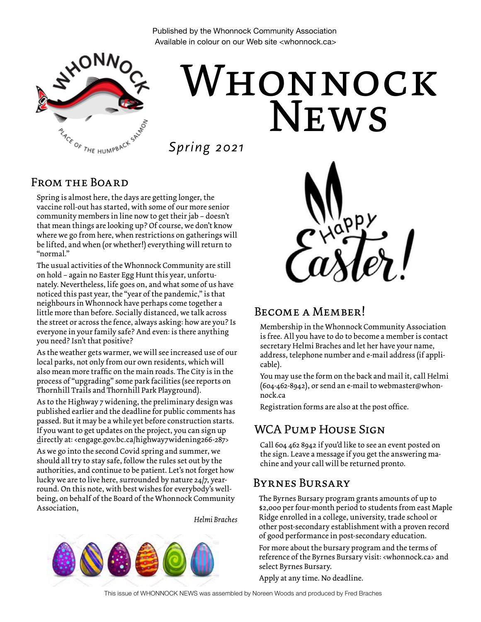Published by the Whonnock Community Association Available in colour on our Web site <whonnock.ca>



# **NEWS** Whonnock

*Spring 2021*

#### FROM THE BOARD

Spring is almost here, the days are getting longer, the vaccine roll-out has started, with some of our more senior community members in line now to get their jab – doesn't that mean things are looking up? Of course, we don't know where we go from here, when restrictions on gatherings will be lifted, and when (or whether!) everything will return to "normal."

The usual activities of the Whonnock Community are still on hold – again no Easter Egg Hunt this year, unfortunately. Nevertheless, life goes on, and what some of us have noticed this past year, the "year of the pandemic," is that neighbours in Whonnock have perhaps come together a little more than before. Socially distanced, we talk across the street or across the fence, always asking: how are you? Is everyone in your family safe? And even: is there anything you need? Isn't that positive?

As the weather gets warmer, we will see increased use of our local parks, not only from our own residents, which will also mean more traffic on the main roads. The City is in the process of "upgrading" some park facilities (see reports on Thornhill Trails and Thornhill Park Playground).

As to the Highway 7 widening, the preliminary design was published earlier and the deadline for public comments has passed. But it may be a while yet before construction starts. If you want to get updates on the project, you can sign up directly at: <engage.gov.bc.ca/highway7widening266-287>

As we go into the second Covid spring and summer, we should all try to stay safe, follow the rules set out by the authorities, and continue to be patient. Let's not forget how lucky we are to live here, surrounded by nature 24/7, yearround. On this note, with best wishes for everybody's wellbeing, on behalf of the Board of the Whonnock Community Association,

*Helmi Braches*





#### BECOME A MEMBER!

Membership in the Whonnock Community Association is free. All you have to do to become a member is contact secretary Helmi Braches and let her have your name, address, telephone number and e-mail address (if applicable).

You may use the form on the back and mail it, call Helmi (604-462-8942), or send an e-mail to webmaster@whonnock.ca

Registration forms are also at the post office.

# WCA Pump House Sign

Call 604 462 8942 if you'd like to see an event posted on the sign. Leave a message if you get the answering machine and your call will be returned pronto.

#### Byrnes Bursary

The Byrnes Bursary program grants amounts of up to \$2,000 per four-month period to students from east Maple Ridge enrolled in a college, university, trade school or other post-secondary establishment with a proven record of good performance in post-secondary education.

For more about the bursary program and the terms of reference of the Byrnes Bursary visit: <whonnock.ca> and select Byrnes Bursary.

Apply at any time. No deadline.

This issue of WHONNOCK NEWS was assembled by Noreen Woods and produced by Fred Braches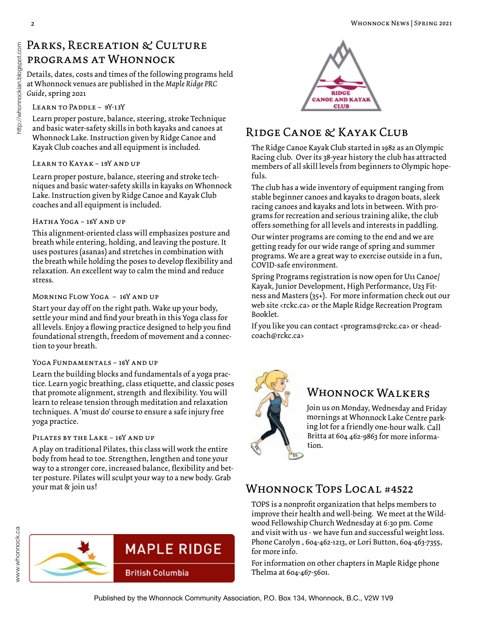# PARKS, RECREATION & CULTURE programs at Whonnock

Details, dates, costs and times of the following programs held at Whonnock venues are published in the *Maple Ridge PRC Guide*, spring 2021

#### LEARN TO PADDLE - 9Y-13Y

Learn proper posture, balance, steering, stroke Technique and basic water-safety skills in both kayaks and canoes at Whonnock Lake. Instruction given by Ridge Canoe and Kayak Club coaches and all equipment is included.

#### Learn to Kayak – 19Y and up

Learn proper posture, balance, steering and stroke techniques and basic water-safety skills in kayaks on Whonnock Lake. Instruction given by Ridge Canoe and Kayak Club coaches and all equipment is included.

#### Hatha Yoga – 16Y and up

This alignment-oriented class will emphasizes posture and breath while entering, holding, and leaving the posture. It uses postures (asanas) and stretches in combination with the breath while holding the poses to develop flexibility and relaxation. An excellent way to calm the mind and reduce stress.

#### Morning Flow Yoga – 16Y and up

Start your day off on the right path. Wake up your body, settle your mind and find your breath in this Yoga class for all levels. Enjoy a flowing practice designed to help you find foundational strength, freedom of movement and a connection to your breath.

#### YOGA FUNDAMENTALS - 16Y AND UP

Learn the building blocks and fundamentals of a yoga practice. Learn yogic breathing, class etiquette, and classic poses that promote alignment, strength and flexibility. You will learn to release tension through meditation and relaxation techniques. A 'must do' course to ensure a safe injury free yoga practice.

#### Pilates by the Lake – 16Y and up

A play on traditional Pilates, this class will work the entire body from head to toe. Strengthen, lengthen and tone your way to a stronger core, increased balance, flexibility and better posture. Pilates will sculpt your way to a new body. Grab your mat & join us!





# Ridge Canoe & Kayak Club

The Ridge Canoe Kayak Club started in 1982 as an Olympic Racing club. Over its 38-year history the club has attracted members of all skill levels from beginners to Olympic hopefuls.

The club has a wide inventory of equipment ranging from stable beginner canoes and kayaks to dragon boats, sleek racing canoes and kayaks and lots in between. With programs for recreation and serious training alike, the club offers something for all levels and interests in paddling.

Our winter programs are coming to the end and we are getting ready for our wide range of spring and summer programs. We are a great way to exercise outside in a fun, COVID-safe environment.

Spring Programs registration is now open for U11 Canoe/ Kayak, Junior Development, High Performance, U23 Fitness and Masters (35+). For more information check out our web site <rckc.ca> or the Maple Ridge Recreation Program Booklet.

If you like you can contact <programs@rckc.ca> or <headcoach@rckc.ca>



#### Whonnock Walkers

Join us on Monday, Wednesday and Friday mornings at Whonnock Lake Centre parking lot for a friendly one-hour walk. Call Britta at 604 462-9863 for more information.

## Whonnock Tops Local #4522

TOPS is a nonprofit organization that helps members to improve their health and well-being. We meet at the Wildwood Fellowship Church Wednesday at 6:30 pm. Come and visit with us - we have fun and successful weight loss. Phone Carolyn , 604-462-1213, or Lori Button, 604-463-7355, for more info.

For information on other chapters in Maple Ridge phone Thelma at 604-467-5601.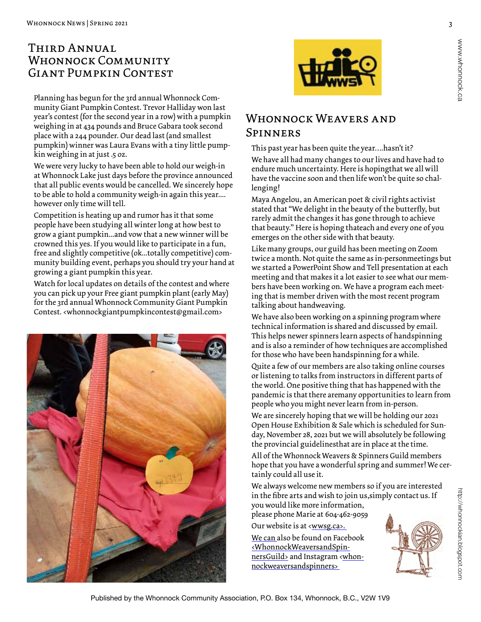#### Third Annual WHONNOCK COMMUNITY Giant Pumpkin Contest

Planning has begun for the 3rd annual Whonnock Community Giant Pumpkin Contest. Trevor Halliday won last year's contest (for the second year in a row) with a pumpkin weighing in at 434 pounds and Bruce Gabara took second place with a 244 pounder. Our dead last (and smallest pumpkin) winner was Laura Evans with a tiny little pumpkin weighing in at just .5 oz.

We were very lucky to have been able to hold our weigh-in at Whonnock Lake just days before the province announced that all public events would be cancelled. We sincerely hope to be able to hold a community weigh-in again this year.... however only time will tell.

Competition is heating up and rumor has it that some people have been studying all winter long at how best to grow a giant pumpkin...and vow that a new winner will be crowned this yes. If you would like to participate in a fun, free and slightly competitive (ok...totally competitive) community building event, perhaps you should try your hand at growing a giant pumpkin this year.

Watch for local updates on details of the contest and where you can pick up your Free giant pumpkin plant (early May) for the 3rd annual Whonnock Community Giant Pumpkin Contest. <whonnockgiantpumpkincontest@gmail.com>





# WHONNOCK WEAVERS AND Spinners

This past year has been quite the year….hasn't it? We have all had many changes to our lives and have had to endure much uncertainty. Here is hoping that we all will have the vaccine soon and then life won't be quite so challenging!

Maya Angelou, an American poet & civil rights activist stated that "We delight in the beauty of the butterfly, but rarely admit the changes it has gone through to achieve that beauty." Here is hoping thateach and every one of you emerges on the other side with that beauty.

Like many groups, our guild has been meeting on Zoom twice a month. Not quite the same as in-personmeetings but we started a PowerPoint Show and Tell presentation at each meeting and that makes it a lot easier to see what our members have been working on. We have a program each meeting that is member driven with the most recent program talking about handweaving.

We have also been working on a spinning program where technical information is shared and discussed by email. This helps newer spinners learn aspects of handspinning and is also a reminder of how techniques are accomplished for those who have been handspinning for a while.

Quite a few of our members are also taking online courses or listening to talks from instructors in different parts of the world. One positive thing that has happened with the pandemic is that there aremany opportunities to learn from people who you might never learn from in-person.

We are sincerely hoping that we will be holding our 2021 Open House Exhibition & Sale which is scheduled for Sunday, November 28, 2021 but we will absolutely be following the provincial guidelines that are in place at the time.

All of the Whonnock Weavers & Spinners Guild members hope that you have a wonderful spring and summer! We certainly could all use it.

We always welcome new members so if you are interested in the fibre arts and wish to join us, simply contact us. If you would like more information,

please phone Marie at 604-462-9059 Our website is at <wwsg.ca>.

We can also be found on Facebook <WhonnockWeaversandSpinnersGuild> and Instagram <whonnockweaversandspinners>

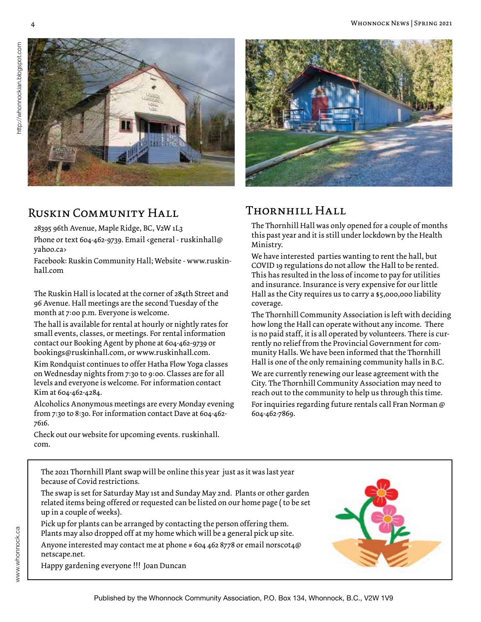

#### RUSKIN COMMUNITY HALL

28395 96th Avenue, Maple Ridge, BC, V2W 1L3

Phone or text 604-462-9739. Email <general - ruskinhall@ yahoo.ca>

Facebook: Ruskin Community Hall; Website - www.ruskinhall.com

The Ruskin Hall is located at the corner of 284th Street and 96 Avenue. Hall meetings are the second Tuesday of the month at 7:00 p.m. Everyone is welcome.

The hall is available for rental at hourly or nightly rates for small events, classes, or meetings. For rental information contact our Booking Agent by phone at 604-462-9739 or bookings@ruskinhall.com, or www.ruskinhall.com.

Kim Rondquist continues to offer Hatha Flow Yoga classes on Wednesday nights from 7:30 to 9:00. Classes are for all levels and everyone is welcome. For information contact Kim at 604-462-4284.

Alcoholics Anonymous meetings are every Monday evening from 7:30 to 8:30. For information contact Dave at 604-462- 7616.



### Thornhill Hall

The Thornhill Hall was only opened for a couple of months this past year and it is still under lockdown by the Health Ministry.

We have interested parties wanting to rent the hall, but COVID 19 regulations do not allow the Hall to be rented. This has resulted in the loss of income to pay for utilities and insurance. Insurance is very expensive for our little Hall as the City requires us to carry a \$5,000,000 liability coverage.

The Thornhill Community Association is left with deciding how long the Hall can operate without any income. There is no paid staff, it is all operated by volunteers. There is currently no relief from the Provincial Government for community Halls. We have been informed that the Thornhill Hall is one of the only remaining community halls in B.C.

We are currently renewing our lease agreement with the City. The Thornhill Community Association may need to reach out to the community to help us through this time.

For inquiries regarding future rentals call Fran Norman @ 604-462-7869.

Check out our website for upcoming events. ruskinhall. com.

Happy gardening everyone !!! Joan Duncan

The 2021 Thornhill Plant swap will be online this year just as it was last year because of Covid restrictions.

The swap is set for Saturday May 1st and Sunday May 2nd. Plants or other garden related items being offered or requested can be listed on our home page ( to be set up in a couple of weeks).

Pick up for plants can be arranged by contacting the person offering them. Plants may also dropped off at my home which will be a general pick up site.

Anyone interested may contact me at phone # 604 462 8778 or email norscot4@ netscape.net.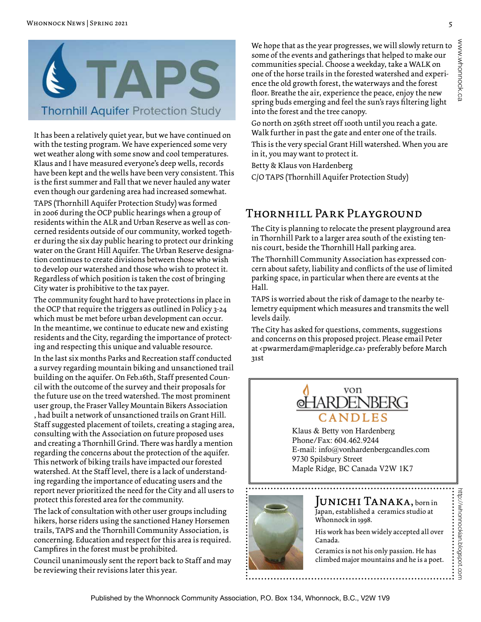

It has been a relatively quiet year, but we have continued on with the testing program. We have experienced some very wet weather along with some snow and cool temperatures. Klaus and I have measured everyone's deep wells, records have been kept and the wells have been very consistent. This is the first summer and Fall that we never hauled any water even though our gardening area had increased somewhat.

TAPS (Thornhill Aquifer Protection Study) was formed in 2006 during the OCP public hearings when a group of residents within the ALR and Urban Reserve as well as concerned residents outside of our community, worked together during the six day public hearing to protect our drinking water on the Grant Hill Aquifer. The Urban Reserve designation continues to create divisions between those who wish to develop our watershed and those who wish to protect it. Regardless of which position is taken the cost of bringing City water is prohibitive to the tax payer.

The community fought hard to have protections in place in the OCP that require the triggers as outlined in Policy 3-24 which must be met before urban development can occur. In the meantime, we continue to educate new and existing residents and the City, regarding the importance of protecting and respecting this unique and valuable resource.

In the last six months Parks and Recreation staff conducted a survey regarding mountain biking and unsanctioned trail building on the aquifer. On Feb.16th, Staff presented Council with the outcome of the survey and their proposals for the future use on the treed watershed. The most prominent user group, the Fraser Valley Mountain Bikers Association , had built a network of unsanctioned trails on Grant Hill. Staff suggested placement of toilets, creating a staging area, consulting with the Association on future proposed uses and creating a Thornhill Grind. There was hardly a mention regarding the concerns about the protection of the aquifer. This network of biking trails have impacted our forested watershed. At the Staff level, there is a lack of understanding regarding the importance of educating users and the report never prioritized the need for the City and all users to protect this forested area for the community.

The lack of consultation with other user groups including hikers, horse riders using the sanctioned Haney Horsemen trails, TAPS and the Thornhill Community Association, is concerning. Education and respect for this area is required. Campfires in the forest must be prohibited.

Council unanimously sent the report back to Staff and may be reviewing their revisions later this year.

We hope that as the year progresses, we will slowly return to some of the events and gatherings that helped to make our communities special. Choose a weekday, take a WALK on one of the horse trails in the forested watershed and experience the old growth forest, the waterways and the forest floor. Breathe the air, experience the peace, enjoy the new spring buds emerging and feel the sun's rays filtering light into the forest and the tree canopy.

Go north on 256th street off 100th until you reach a gate. Walk further in past the gate and enter one of the trails.

This is the very special Grant Hill watershed. When you are in it, you may want to protect it.

Betty & Klaus von Hardenberg

C/O TAPS (Thornhill Aquifer Protection Study)

#### Thornhill Park Playground

The City is planning to relocate the present playground area in Thornhill Park to a larger area south of the existing tennis court, beside the Thornhill Hall parking area.

The Thornhill Community Association has expressed concern about safety, liability and conflicts of the use of limited parking space, in particular when there are events at the Hall.

TAPS is worried about the risk of damage to the nearby telemetry equipment which measures and transmits the well levels daily.

The City has asked for questions, comments, suggestions and concerns on this proposed project. Please email Peter at <pwarmerdam@mapleridge.ca> preferably before March 31st



Klaus & Betty von Hardenberg Phone/Fax: 604.462.9244 E-mail: info@vonhardenbergcandles.com 9730 Spilsbury Street Maple Ridge, BC Canada V2W 1K7



#### Junichi Tanaka, born in Japan, established a ceramics studio at Whonnock in 1998.

His work has been widely accepted all over Canada.

http://whonnockian.blogspot.com

http://whonnockian.blogspot.com

Ceramics is not his only passion. He has climbed major mountains and he is a poet.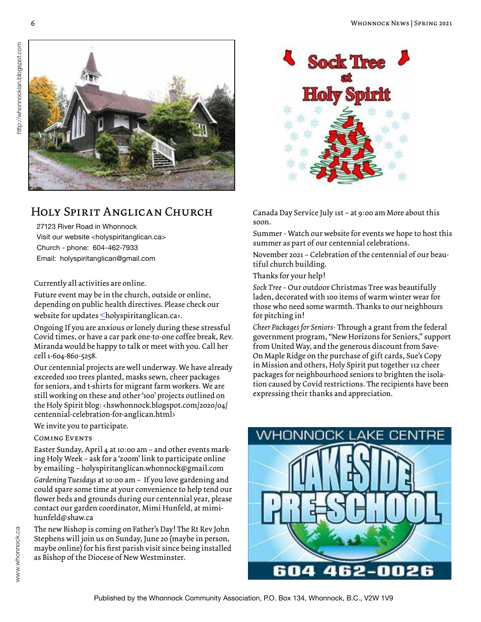

### Holy Spirit Anglican Church

27123 River Road in Whonnock Visit our website <holyspiritanglican.ca> Church - phone: 604-462-7933 Email: holyspiritanglican@gmail.com

Currently all activities are online.

Future event may be in the church, outside or online, depending on public health directives. Please check our

website for updates  $\leq$ holyspiritanglican.ca>.

Ongoing If you are anxious or lonely during these stressful Covid times, or have a car park one-to-one coffee break, Rev. Miranda would be happy to talk or meet with you. Call her cell 1-604-860-5258.

Our centennial projects are well underway. We have already exceeded 100 trees planted, masks sewn, cheer packages for seniors, and t-shirts for migrant farm workers. We are still working on these and other '100' projects outlined on the Holy Spirit blog: <hswhonnock.blogspot.com/2020/04/ centennial-celebration-for-anglican.html>

We invite you to participate.

#### Coming Events

Easter Sunday, April 4 at 10:00 am – and other events marking Holy Week – ask for a 'zoom' link to participate online by emailing – holyspiritanglican.whonnock@gmail.com

*Gardening Tuesdays* at 10:00 am – If you love gardening and could spare some time at your convenience to help tend our flower beds and grounds during our centennial year, please contact our garden coordinator, Mimi Hunfeld, at mimihunfeld@shaw.ca

The new Bishop is coming on Father's Day! The Rt Rev John Stephens will join us on Sunday, June 20 (maybe in person, maybe online) for his first parish visit since being installed as Bishop of the Diocese of New Westminster.



Canada Day Service July 1st – at 9:00 am More about this soon.

Summer - Watch our website for events we hope to host this summer as part of our centennial celebrations.

November 2021 – Celebration of the centennial of our beautiful church building.

Thanks for your help!

*Sock Tree –* Our outdoor Christmas Tree was beautifully laden, decorated with 100 items of warm winter wear for those who need some warmth. Thanks to our neighbours for pitching in!

*Cheer Packages for Seniors*- Through a grant from the federal government program, "New Horizons for Seniors," support from United Way, and the generous discount from Save-On Maple Ridge on the purchase of gift cards, Sue's Copy in Mission and others, Holy Spirit put together 112 cheer packages for neighbourhood seniors to brighten the isolation caused by Covid restrictions. The recipients have been expressing their thanks and appreciation.

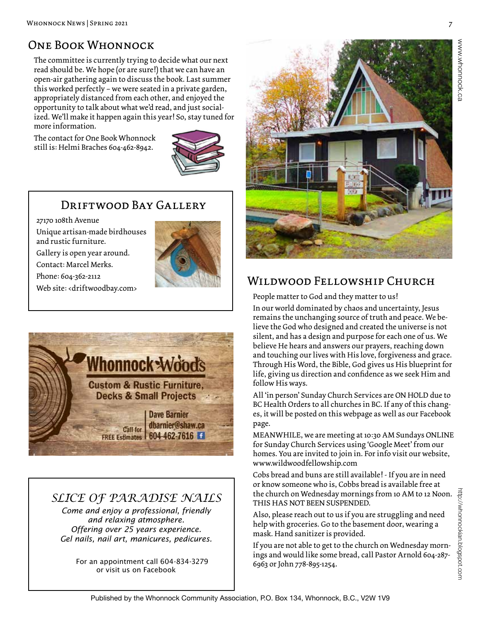# One Book Whonnock

The committee is currently trying to decide what our next read should be. We hope (or are sure!) that we can have an open-air gathering again to discuss the book. Last summer this worked perfectly – we were seated in a private garden, appropriately distanced from each other, and enjoyed the opportunity to talk about what we'd read, and just socialized. We'll make it happen again this year! So, stay tuned for more information.

The contact for One Book Whonnock still is: Helmi Braches 604-462-8942.



#### DRIFTWOOD BAY GALLERY

27170 108th Avenue Unique artisan-made birdhouses and rustic furniture.

Gallery is open year around.

Contact: Marcel Merks.

Phone: 604-362-2112

Web site: <driftwoodbay.com>



# *SLICE OF PARADISE NAILS*

*Come and enjoy a professional, friendly and relaxing atmosphere. Offering over 25 years experience. Gel nails, nail art, manicures, pedicures.* 

 For an appointment call 604-834-3279 or visit us on Facebook



### Wildwood Fellowship Church

People matter to God and they matter to us!

In our world dominated by chaos and uncertainty, Jesus remains the unchanging source of truth and peace. We believe the God who designed and created the universe is not silent, and has a design and purpose for each one of us. We believe He hears and answers our prayers, reaching down and touching our lives with His love, forgiveness and grace. Through His Word, the Bible, God gives us His blueprint for life, giving us direction and confidence as we seek Him and follow His ways.

All 'in person' Sunday Church Services are ON HOLD due to BC Health Orders to all churches in BC. If any of this changes, it will be posted on this webpage as well as our Facebook page.

MEANWHILE, we are meeting at 10:30 AM Sundays ONLINE for Sunday Church Services using 'Google Meet' from our homes. You are invited to join in. For info visit our website, www.wildwoodfellowship.com

Cobs bread and buns are still available! - If you are in need or know someone who is, Cobbs bread is available free at the church on Wednesday mornings from 10 AM to 12 Noon. THIS HAS NOT BEEN SUSPENDED.

Also, please reach out to us if you are struggling and need help with groceries. Go to the basement door, wearing a mask. Hand sanitizer is provided.

If you are not able to get to the church on Wednesday mornings and would like some bread, call Pastor Arnold 604-287- 6963 or John 778-895-1254.